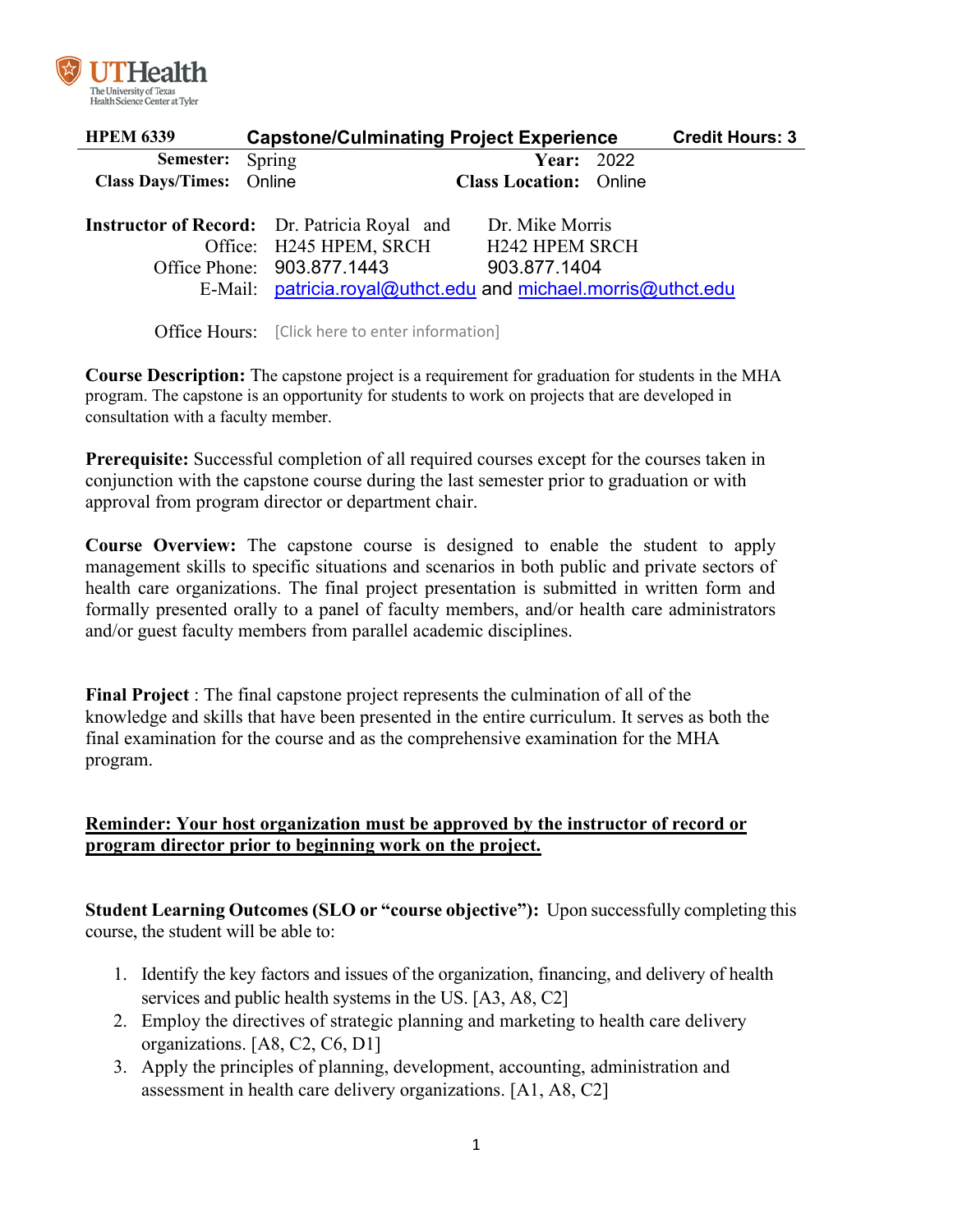

| <b>HPEM 6339</b>         | <b>Capstone/Culminating Project Experience</b>                                 |                                                               | <b>Credit Hours: 3</b> |
|--------------------------|--------------------------------------------------------------------------------|---------------------------------------------------------------|------------------------|
| <b>Semester:</b> Spring  |                                                                                | <b>Year: 2022</b>                                             |                        |
| Class Days/Times: Online |                                                                                | <b>Class Location: Online</b>                                 |                        |
|                          | <b>Instructor of Record:</b> Dr. Patricia Royal and<br>Office: H245 HPEM, SRCH | Dr. Mike Morris<br><b>H242 HPEM SRCH</b>                      |                        |
|                          | Office Phone: 903.877.1443                                                     | 903.877.1404                                                  |                        |
|                          |                                                                                | E-Mail: patricia.royal@uthct.edu and michael.morris@uthct.edu |                        |

Office Hours: [Click here to enter information]

**Course Description:** The capstone project is a requirement for graduation for students in the MHA program. The capstone is an opportunity for students to work on projects that are developed in consultation with a faculty member.

**Prerequisite:** Successful completion of all required courses except for the courses taken in conjunction with the capstone course during the last semester prior to graduation or with approval from program director or department chair.

**Course Overview:** The capstone course is designed to enable the student to apply management skills to specific situations and scenarios in both public and private sectors of health care organizations. The final project presentation is submitted in written form and formally presented orally to a panel of faculty members, and/or health care administrators and/or guest faculty members from parallel academic disciplines.

**Final Project** : The final capstone project represents the culmination of all of the knowledge and skills that have been presented in the entire curriculum. It serves as both the final examination for the course and as the comprehensive examination for the MHA program.

# **Reminder: Your host organization must be approved by the instructor of record or program director prior to beginning work on the project.**

**Student Learning Outcomes (SLO or "course objective"):** Upon successfully completing this course, the student will be able to:

- 1. Identify the key factors and issues of the organization, financing, and delivery of health services and public health systems in the US. [A3, A8, C2]
- 2. Employ the directives of strategic planning and marketing to health care delivery organizations. [A8, C2, C6, D1]
- 3. Apply the principles of planning, development, accounting, administration and assessment in health care delivery organizations. [A1, A8, C2]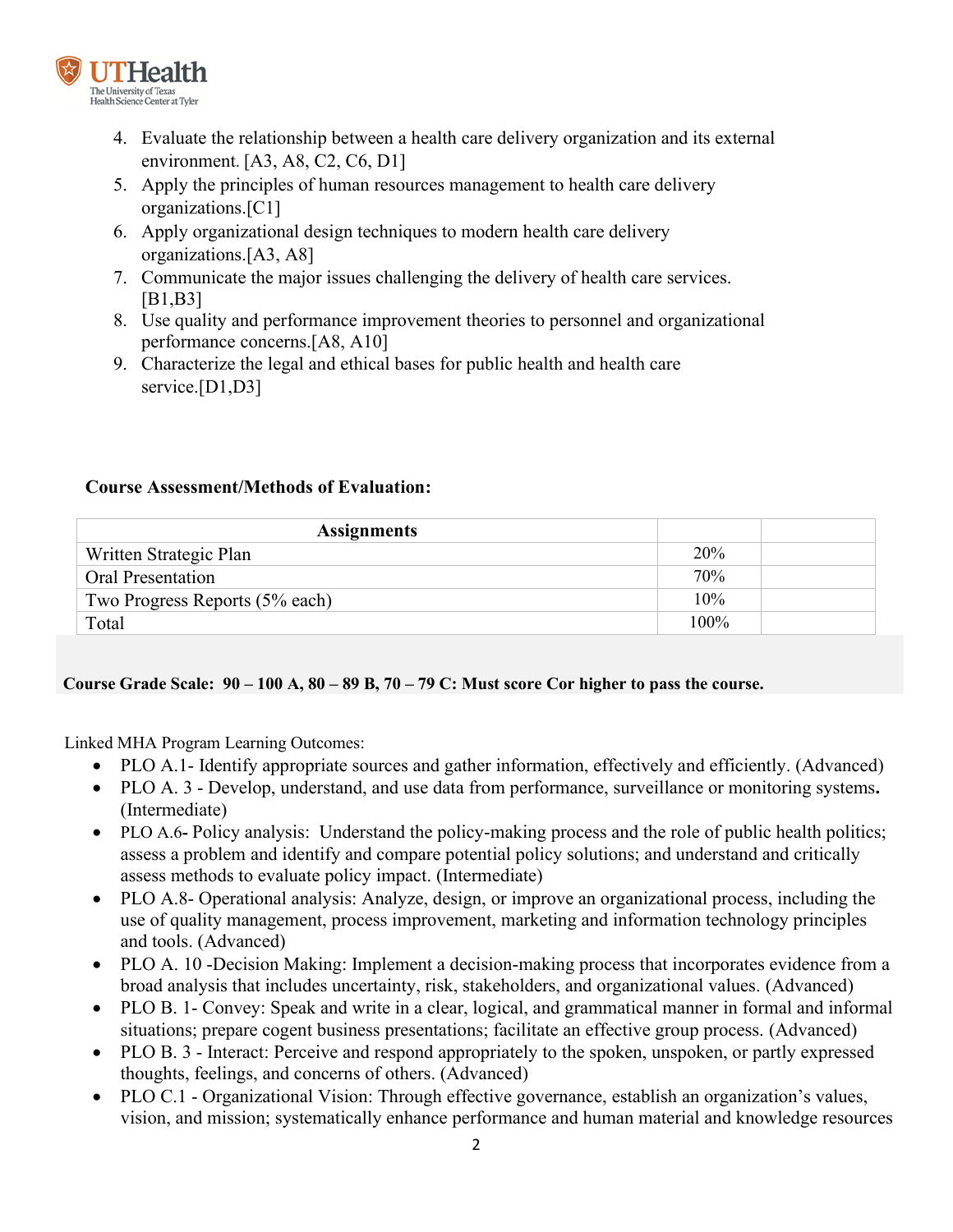

- 4. Evaluate the relationship between a health care delivery organization and its external environment. [A3, A8, C2, C6, D1]
- 5. Apply the principles of human resources management to health care delivery organizations.[C1]
- 6. Apply organizational design techniques to modern health care delivery organizations.[A3, A8]
- 7. Communicate the major issues challenging the delivery of health care services. [B1,B3]
- 8. Use quality and performance improvement theories to personnel and organizational performance concerns.[A8, A10]
- 9. Characterize the legal and ethical bases for public health and health care service.<sup>[D1,D3]</sup>

# **Course Assessment/Methods of Evaluation:**

| <b>Assignments</b>             |            |  |
|--------------------------------|------------|--|
| Written Strategic Plan         | <b>20%</b> |  |
| Oral Presentation              | 70%        |  |
| Two Progress Reports (5% each) | 10%        |  |
| Total                          | $100\%$    |  |

## **Course Grade Scale: 90 – 100 A, 80 – 89 B, 70 – 79 C: Must score Cor higher to pass the course.**

Linked MHA Program Learning Outcomes:

- PLO A.1- Identify appropriate sources and gather information, effectively and efficiently. (Advanced)
- PLO A. 3 Develop, understand, and use data from performance, surveillance or monitoring systems**.** (Intermediate)
- PLO A.6- Policy analysis: Understand the policy-making process and the role of public health politics; assess a problem and identify and compare potential policy solutions; and understand and critically assess methods to evaluate policy impact. (Intermediate)
- PLO A.8- Operational analysis: Analyze, design, or improve an organizational process, including the use of quality management, process improvement, marketing and information technology principles and tools. (Advanced)
- PLO A. 10 -Decision Making: Implement a decision-making process that incorporates evidence from a broad analysis that includes uncertainty, risk, stakeholders, and organizational values. (Advanced)
- PLO B. 1- Convey: Speak and write in a clear, logical, and grammatical manner in formal and informal situations; prepare cogent business presentations; facilitate an effective group process. (Advanced)
- PLO B. 3 Interact: Perceive and respond appropriately to the spoken, unspoken, or partly expressed thoughts, feelings, and concerns of others. (Advanced)
- PLO C.1 Organizational Vision: Through effective governance, establish an organization's values, vision, and mission; systematically enhance performance and human material and knowledge resources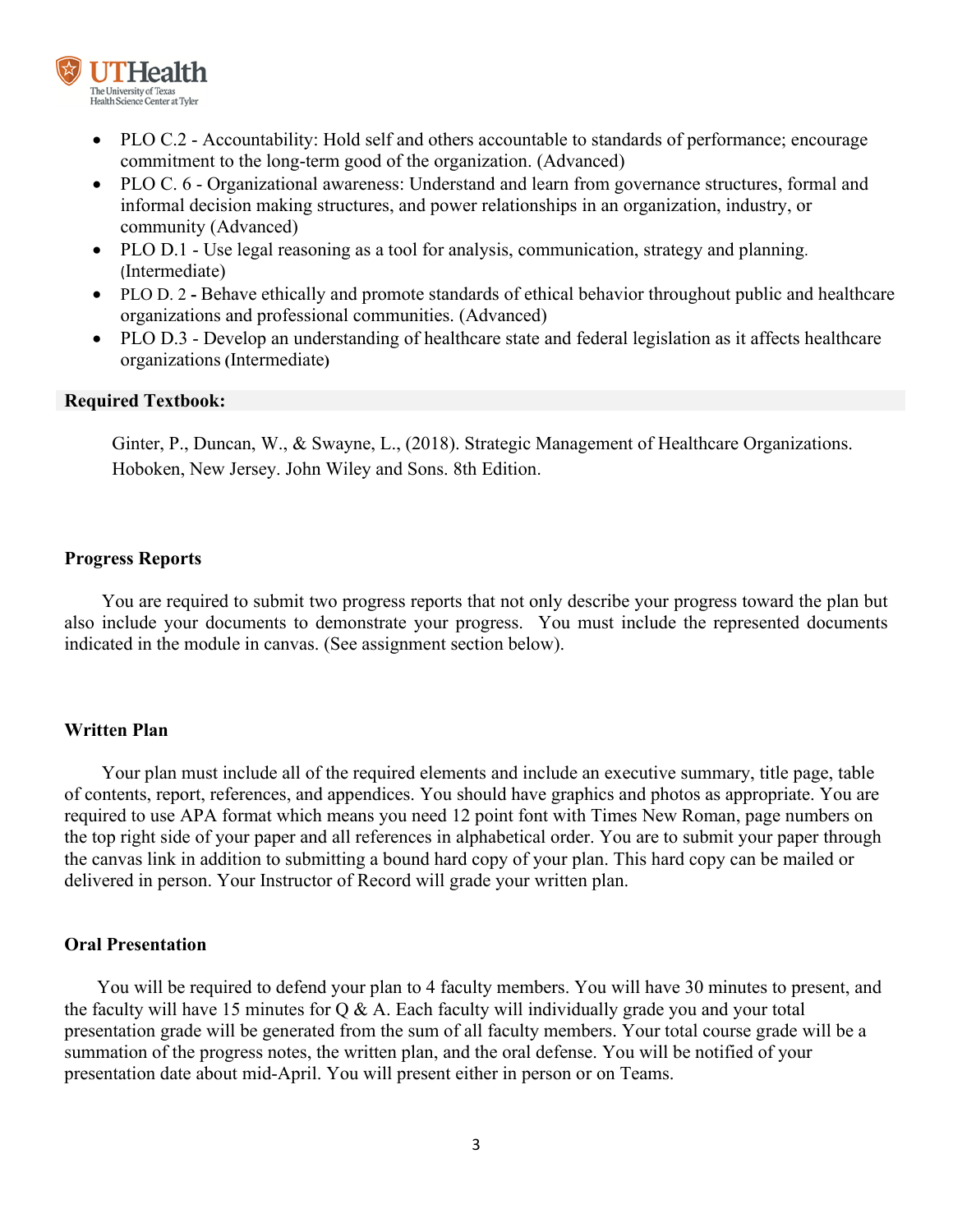

- PLO C.2 Accountability: Hold self and others accountable to standards of performance; encourage commitment to the long-term good of the organization. (Advanced)
- PLO C. 6 Organizational awareness: Understand and learn from governance structures, formal and informal decision making structures, and power relationships in an organization, industry, or community (Advanced)
- PLO D.1 Use legal reasoning as a tool for analysis, communication, strategy and planning. (Intermediate)
- PLO D. 2 **-** Behave ethically and promote standards of ethical behavior throughout public and healthcare organizations and professional communities. (Advanced)
- PLO D.3 Develop an understanding of healthcare state and federal legislation as it affects healthcare organizations **(**Intermediate**)**

#### **Required Textbook:**

Ginter, P., Duncan, W., & Swayne, L., (2018). Strategic Management of Healthcare Organizations. Hoboken, New Jersey. John Wiley and Sons. 8th Edition.

#### **Progress Reports**

 You are required to submit two progress reports that not only describe your progress toward the plan but also include your documents to demonstrate your progress. You must include the represented documents indicated in the module in canvas. (See assignment section below).

### **Written Plan**

Your plan must include all of the required elements and include an executive summary, title page, table of contents, report, references, and appendices. You should have graphics and photos as appropriate. You are required to use APA format which means you need 12 point font with Times New Roman, page numbers on the top right side of your paper and all references in alphabetical order. You are to submit your paper through the canvas link in addition to submitting a bound hard copy of your plan. This hard copy can be mailed or delivered in person. Your Instructor of Record will grade your written plan.

### **Oral Presentation**

You will be required to defend your plan to 4 faculty members. You will have 30 minutes to present, and the faculty will have 15 minutes for  $Q & A$ . Each faculty will individually grade you and your total presentation grade will be generated from the sum of all faculty members. Your total course grade will be a summation of the progress notes, the written plan, and the oral defense. You will be notified of your presentation date about mid-April. You will present either in person or on Teams.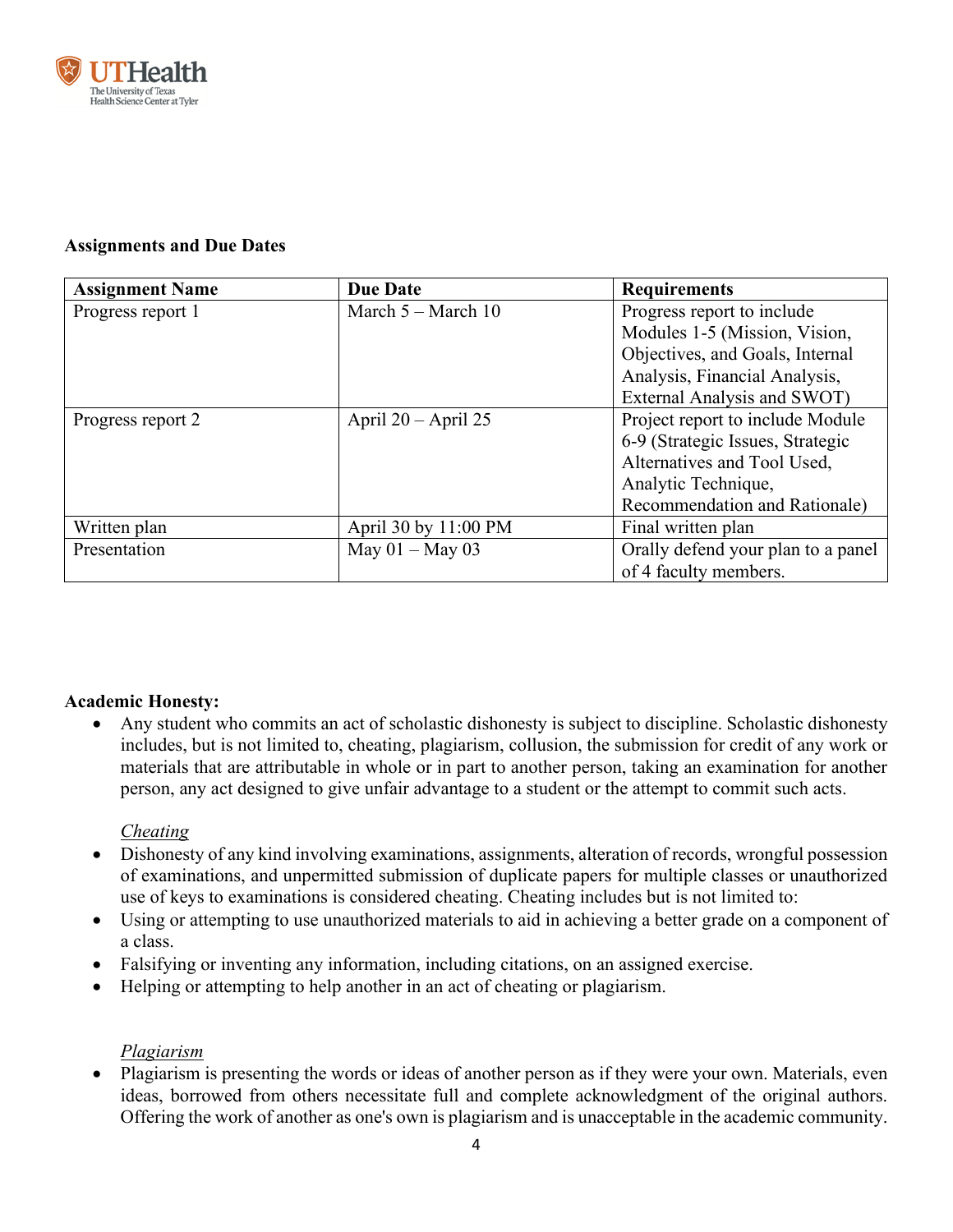

# **Assignments and Due Dates**

| <b>Assignment Name</b> | <b>Due Date</b>        | <b>Requirements</b>                |
|------------------------|------------------------|------------------------------------|
| Progress report 1      | March $5 -$ March $10$ | Progress report to include         |
|                        |                        | Modules 1-5 (Mission, Vision,      |
|                        |                        | Objectives, and Goals, Internal    |
|                        |                        | Analysis, Financial Analysis,      |
|                        |                        | External Analysis and SWOT)        |
| Progress report 2      | April $20 -$ April 25  | Project report to include Module   |
|                        |                        | 6-9 (Strategic Issues, Strategic   |
|                        |                        | Alternatives and Tool Used,        |
|                        |                        | Analytic Technique,                |
|                        |                        | Recommendation and Rationale)      |
| Written plan           | April 30 by 11:00 PM   | Final written plan                 |
| Presentation           | May $01 -$ May 03      | Orally defend your plan to a panel |
|                        |                        | of 4 faculty members.              |

# **Academic Honesty:**

• Any student who commits an act of scholastic dishonesty is subject to discipline. Scholastic dishonesty includes, but is not limited to, cheating, plagiarism, collusion, the submission for credit of any work or materials that are attributable in whole or in part to another person, taking an examination for another person, any act designed to give unfair advantage to a student or the attempt to commit such acts.

## *Cheating*

- Dishonesty of any kind involving examinations, assignments, alteration of records, wrongful possession of examinations, and unpermitted submission of duplicate papers for multiple classes or unauthorized use of keys to examinations is considered cheating. Cheating includes but is not limited to:
- Using or attempting to use unauthorized materials to aid in achieving a better grade on a component of a class.
- Falsifying or inventing any information, including citations, on an assigned exercise.
- Helping or attempting to help another in an act of cheating or plagiarism.

## *Plagiarism*

• Plagiarism is presenting the words or ideas of another person as if they were your own. Materials, even ideas, borrowed from others necessitate full and complete acknowledgment of the original authors. Offering the work of another as one's own is plagiarism and is unacceptable in the academic community.